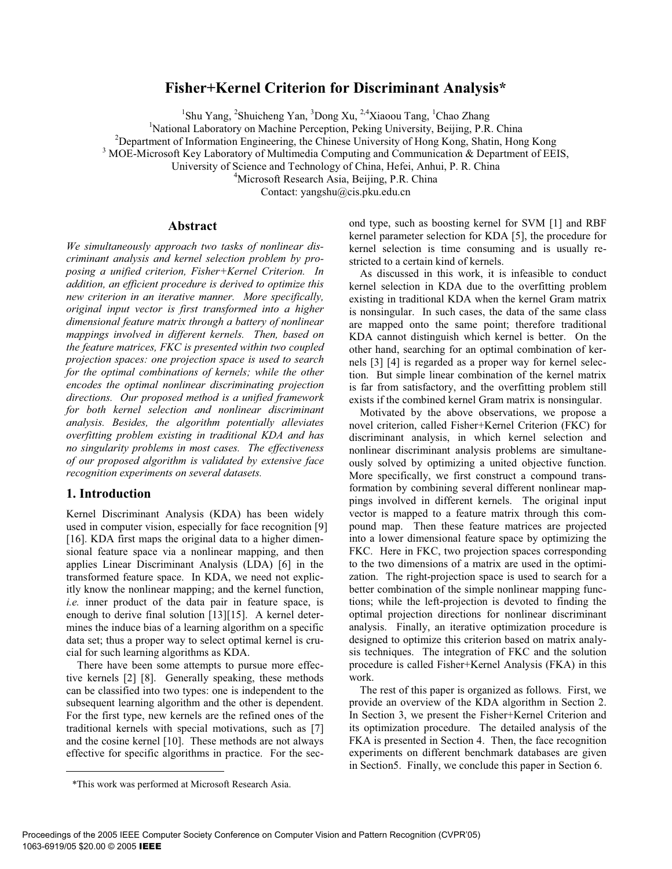# **Fisher+Kernel Criterion for Discriminant Analysis\***

<sup>1</sup>Shu Yang, <sup>2</sup>Shuicheng Yan, <sup>3</sup>Dong Xu, <sup>2,4</sup>Xiaoou Tang, <sup>1</sup>Chao Zhang<br><sup>1</sup>National Laboratory on Machine Bercentian, Peking University, Beijing, P.P.

<sup>1</sup>National Laboratory on Machine Perception, Peking University, Beijing, P.R. China

<sup>2</sup>Department of Information Engineering, the Chinese University of Hong Kong, Shatin, Hong Kong

 $3 \text{ MOE-Microsoft}$  Key Laboratory of Multimedia Computing and Communication  $\&$  Department of EEIS,

University of Science and Technology of China, Hefei, Anhui, P. R. China 4

<sup>4</sup>Microsoft Research Asia, Beijing, P.R. China

Contact: yangshu@cis.pku.edu.cn

### **Abstract**

*We simultaneously approach two tasks of nonlinear discriminant analysis and kernel selection problem by proposing a unified criterion, Fisher+Kernel Criterion. In addition, an efficient procedure is derived to optimize this new criterion in an iterative manner. More specifically, original input vector is first transformed into a higher dimensional feature matrix through a battery of nonlinear mappings involved in different kernels. Then, based on the feature matrices, FKC is presented within two coupled projection spaces: one projection space is used to search*  for the optimal combinations of kernels; while the other *encodes the optimal nonlinear discriminating projection directions. Our proposed method is a unified framework for both kernel selection and nonlinear discriminant analysis. Besides, the algorithm potentially alleviates overfitting problem existing in traditional KDA and has no singularity problems in most cases. The effectiveness of our proposed algorithm is validated by extensive face recognition experiments on several datasets.*

### **1. Introduction**

Kernel Discriminant Analysis (KDA) has been widely used in computer vision, especially for face recognition [9] [16]. KDA first maps the original data to a higher dimensional feature space via a nonlinear mapping, and then applies Linear Discriminant Analysis (LDA) [6] in the transformed feature space. In KDA, we need not explicitly know the nonlinear mapping; and the kernel function, *i.e.* inner product of the data pair in feature space, is enough to derive final solution [13][15]. A kernel determines the induce bias of a learning algorithm on a specific data set; thus a proper way to select optimal kernel is crucial for such learning algorithms as KDA.

There have been some attempts to pursue more effective kernels [2] [8]. Generally speaking, these methods can be classified into two types: one is independent to the subsequent learning algorithm and the other is dependent. For the first type, new kernels are the refined ones of the traditional kernels with special motivations, such as [7] and the cosine kernel [10]. These methods are not always effective for specific algorithms in practice. For the second type, such as boosting kernel for SVM [1] and RBF kernel parameter selection for KDA [5], the procedure for kernel selection is time consuming and is usually restricted to a certain kind of kernels.

As discussed in this work, it is infeasible to conduct kernel selection in KDA due to the overfitting problem existing in traditional KDA when the kernel Gram matrix is nonsingular. In such cases, the data of the same class are mapped onto the same point; therefore traditional KDA cannot distinguish which kernel is better. On the other hand, searching for an optimal combination of kernels [3] [4] is regarded as a proper way for kernel selection. But simple linear combination of the kernel matrix is far from satisfactory, and the overfitting problem still exists if the combined kernel Gram matrix is nonsingular.

Motivated by the above observations, we propose a novel criterion, called Fisher+Kernel Criterion (FKC) for discriminant analysis, in which kernel selection and nonlinear discriminant analysis problems are simultaneously solved by optimizing a united objective function. More specifically, we first construct a compound transformation by combining several different nonlinear mappings involved in different kernels. The original input vector is mapped to a feature matrix through this compound map. Then these feature matrices are projected into a lower dimensional feature space by optimizing the FKC. Here in FKC, two projection spaces corresponding to the two dimensions of a matrix are used in the optimization. The right-projection space is used to search for a better combination of the simple nonlinear mapping functions; while the left-projection is devoted to finding the optimal projection directions for nonlinear discriminant analysis. Finally, an iterative optimization procedure is designed to optimize this criterion based on matrix analysis techniques. The integration of FKC and the solution procedure is called Fisher+Kernel Analysis (FKA) in this work.

The rest of this paper is organized as follows. First, we provide an overview of the KDA algorithm in Section 2. In Section 3, we present the Fisher+Kernel Criterion and its optimization procedure. The detailed analysis of the FKA is presented in Section 4. Then, the face recognition experiments on different benchmark databases are given in Section5. Finally, we conclude this paper in Section 6.

\*This work was performed at Microsoft Research Asia.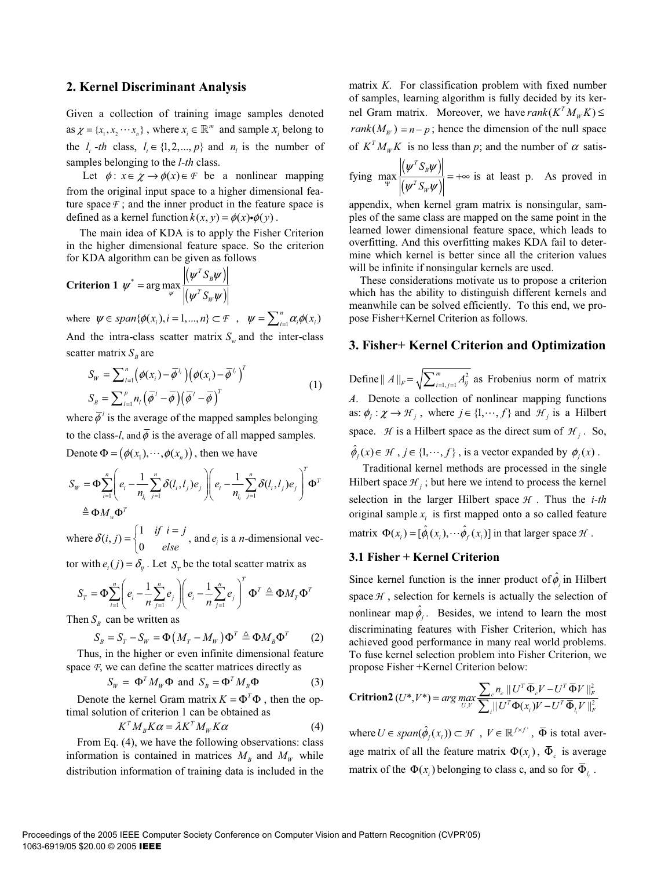### **2. Kernel Discriminant Analysis**

Given a collection of training image samples denoted as  $\chi = \{x_1, x_2 \cdots x_n\}$ , where  $x_i \in \mathbb{R}^m$  and sample  $x_i$  belong to the  $l_i$  -*th* class,  $l_i \in \{1, 2, ..., p\}$  and  $n_i$  is the number of samples belonging to the *l*-*th* class.

Let  $\phi: x \in \chi \rightarrow \phi(x) \in \mathcal{F}$  be a nonlinear mapping from the original input space to a higher dimensional feature space  $F$ ; and the inner product in the feature space is defined as a kernel function  $k(x, y) = \phi(x) \cdot \phi(y)$ .

The main idea of KDA is to apply the Fisher Criterion in the higher dimensional feature space. So the criterion for KDA algorithm can be given as follows

$$
\textbf{Criterion 1 } \psi^* = \arg \max_{\psi} \frac{\left| \left( \psi^T S_B \psi \right) \right|}{\left| \left( \psi^T S_{\psi} \psi \right) \right|}
$$

where  $\psi \in span{\phi(x_i), i = 1, ..., n} \subset F$ ,  $\psi = \sum_{i=1}^{n} \alpha_i \phi(x_i)$ And the intra-class scatter matrix  $S_w$  and the inter-class scatter matrix  $S<sub>B</sub>$  are

$$
S_W = \sum_{l=1}^n \left( \phi(x_i) - \overline{\phi}^{l_i} \right) \left( \phi(x_i) - \overline{\phi}^{l_i} \right)^T
$$
  
\n
$$
S_B = \sum_{l=1}^p n_l \left( \overline{\phi}^l - \overline{\phi} \right) \left( \overline{\phi}^l - \overline{\phi} \right)^T
$$
\n(1)

where  $\bar{\phi}^i$  is the average of the mapped samples belonging to the class-*l*, and  $\overline{\phi}$  is the average of all mapped samples. Denote  $\Phi = (\phi(x_1), \dots, \phi(x_n))$ , then we have

$$
S_W = \Phi \sum_{i=1}^n \left( e_i - \frac{1}{n_{l_i}} \sum_{j=1}^n \delta(l_i, l_j) e_j \right) \left( e_i - \frac{1}{n_{l_i}} \sum_{j=1}^n \delta(l_i, l_j) e_j \right)^T \Phi^T
$$
  

$$
\triangleq \Phi M_w \Phi^T
$$

where  $\delta(i, j) = \begin{cases} 1 & \text{if } i = j \\ 0 & \text{else} \end{cases}$ , and  $e_i$  is a *n*-dimensional vec-

tor with  $e_i(j) = \delta_{ii}$ . Let  $S_{\tau}$  be the total scatter matrix as

$$
S_T = \Phi \sum_{i=1}^n \left( e_i - \frac{1}{n} \sum_{j=1}^n e_j \right) \left( e_i - \frac{1}{n} \sum_{j=1}^n e_j \right)^T \Phi^T \triangleq \Phi M_T \Phi^T
$$

Then  $S_R$  can be written as

$$
S_B = S_T - S_W = \Phi \left( M_T - M_W \right) \Phi^T \triangleq \Phi M_B \Phi^T \tag{2}
$$

Thus, in the higher or even infinite dimensional feature space  $F$ , we can define the scatter matrices directly as

$$
S_W = \Phi^T M_W \Phi \text{ and } S_B = \Phi^T M_B \Phi \tag{3}
$$

Denote the kernel Gram matrix  $K = \Phi^T \Phi$ , then the optimal solution of criterion 1 can be obtained as

$$
K^T M_B K \alpha = \lambda K^T M_W K \alpha \tag{4}
$$

From Eq. (4), we have the following observations: class information is contained in matrices  $M_B$  and  $M_W$  while distribution information of training data is included in the

matrix *K*. For classification problem with fixed number of samples, learning algorithm is fully decided by its kernel Gram matrix. Moreover, we have  $rank(K^{T} M_{W} K) \le$  $rank(M_w) = n - p$ ; hence the dimension of the null space of  $K^{T} M_{W} K$  is no less than *p*; and the number of  $\alpha$  satis-

fying 
$$
\max_{\Psi} \frac{|\psi^T S_B \psi|}{|\psi^T S_{\psi} \psi|} = +\infty
$$
 is at least p. As proved in

appendix, when kernel gram matrix is nonsingular, samples of the same class are mapped on the same point in the learned lower dimensional feature space, which leads to overfitting. And this overfitting makes KDA fail to determine which kernel is better since all the criterion values will be infinite if nonsingular kernels are used.

These considerations motivate us to propose a criterion which has the ability to distinguish different kernels and meanwhile can be solved efficiently. To this end, we propose Fisher+Kernel Criterion as follows.

### **3. Fisher+ Kernel Criterion and Optimization**

Define  $|| A ||_F = \sqrt{\sum_{i=1, j=1}^m A_{ij}^2}$  as Frobenius norm of matrix *A*. Denote a collection of nonlinear mapping functions as:  $\phi_j : \chi \to \mathcal{H}_j$ , where  $j \in \{1, \dots, f\}$  and  $\mathcal{H}_j$  is a Hilbert space. *H* is a Hilbert space as the direct sum of  $H_i$ . So,

 $\hat{\phi}_i(x) \in \mathcal{H}$ ,  $j \in \{1, \dots, f\}$ , is a vector expanded by  $\phi_i(x)$ .

 Traditional kernel methods are processed in the single Hilbert space  $\mathcal{H}_i$ ; but here we intend to process the kernel selection in the larger Hilbert space *H* . Thus the *i-th* original sample  $x_i$  is first mapped onto a so called feature matrix  $\Phi(x_i) = [\hat{\phi}_1(x_i), \cdots \hat{\phi}_f(x_i)]$  in that larger space  $H$ .

### **3.1 Fisher + Kernel Criterion**

Since kernel function is the inner product of  $\hat{\phi}_j$  in Hilbert space *H* , selection for kernels is actually the selection of nonlinear map  $\hat{\phi}_j$ . Besides, we intend to learn the most discriminating features with Fisher Criterion, which has achieved good performance in many real world problems. To fuse kernel selection problem into Fisher Criterion, we propose Fisher +Kernel Criterion below:

$$
\text{Critrion2}\,(U^*,V^*) = \arg\max_{U,V}\sum_{c} \frac{P_c}{N_c} \frac{\|U^T\,\overline{\Phi}_c V - U^T\,\overline{\Phi}V\,\|_F^2}{\sum_i \|U^T\Phi(x_i)V - U^T\,\overline{\Phi}_i\,V\,\|_F^2}
$$

where  $U \in span(\hat{\phi}_i(x_i)) \subset \mathcal{H}$ ,  $V \in \mathbb{R}^{f \times f'}$ ,  $\overline{\Phi}$  is total average matrix of all the feature matrix  $\Phi(x_i)$ ,  $\overline{\Phi}_c$  is average matrix of the  $\Phi(x_i)$  belonging to class c, and so for  $\bar{\Phi}_{l_i}$ .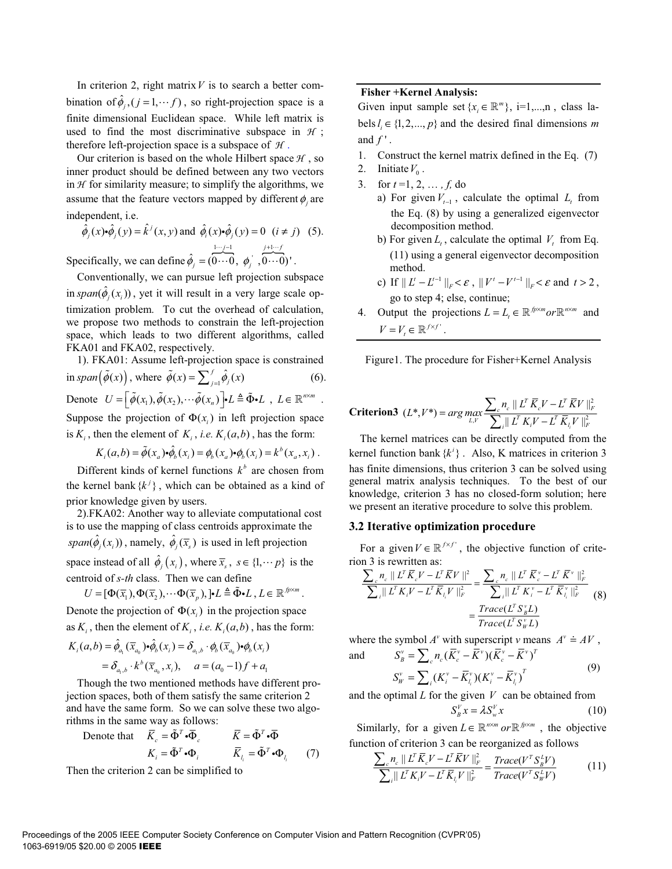In criterion 2, right matrix  $V$  is to search a better combination of  $\hat{\phi}_i$ ,  $(j = 1, \dots f)$ , so right-projection space is a finite dimensional Euclidean space. While left matrix is used to find the most discriminative subspace in *H* ; therefore left-projection space is a subspace of *H* .

Our criterion is based on the whole Hilbert space *H* , so inner product should be defined between any two vectors in *H* for similarity measure; to simplify the algorithms, we assume that the feature vectors mapped by different  $\phi$ , are independent, i.e.

$$
\hat{\phi}_j(x) \cdot \hat{\phi}_j(y) = \hat{k}^j(x, y) \text{ and } \hat{\phi}_i(x) \cdot \hat{\phi}_j(y) = 0 \quad (i \neq j) \quad (5).
$$

Specifically, we can define  $\hat{\phi}_i = (\overbrace{0 \cdots 0}^{1 \cdots j-1}, \phi_i^+, \overbrace{0 \cdots 0}^{j+1})$  $\hat{\phi}_i = (\overbrace{0 \cdots 0}^{1 \cdots j-1}, \phi_i, \overbrace{0 \cdots 0}^{j+1 \cdots f})$  $\phi_j = (0 \cdots 0, \phi_j)$ =  $\cdots 0, \phi_i^+, 0 \cdots 0$ ".

Conventionally, we can pursue left projection subspace in  $span(\phi_i(x_i))$ , yet it will result in a very large scale optimization problem. To cut the overhead of calculation, we propose two methods to constrain the left-projection space, which leads to two different algorithms, called FKA01 and FKA02, respectively.

1). FKA01: Assume left-projection space is constrained in *span*  $(\tilde{\phi}(x))$ , where  $\tilde{\phi}(x) = \sum_{j=1}^{f} \hat{\phi}_j(x)$  (6). Denote  $U = [\tilde{\phi}(x_1), \tilde{\phi}(x_2), \cdots \tilde{\phi}(x_n)] \cdot L \triangleq \tilde{\Phi} \cdot L$ ,  $L \in \mathbb{R}^{n \times m}$ .

Suppose the projection of  $\Phi(x_i)$  in left projection space is  $K_i$ , then the element of  $K_i$ , *i.e.*  $K_i(a,b)$ , has the form:

$$
K_i(a,b) = \tilde{\phi}(x_a) \cdot \hat{\phi}_b(x_i) = \phi_b(x_a) \cdot \phi_b(x_i) = k^b(x_a, x_i).
$$

Different kinds of kernel functions  $k^b$  are chosen from the kernel bank  $\{k^j\}$ , which can be obtained as a kind of prior knowledge given by users.

2).FKA02: Another way to alleviate computational cost is to use the mapping of class centroids approximate the  $span(\hat{\phi}_i(x_i))$ , namely,  $\hat{\phi}_i(\overline{x}_i)$  is used in left projection space instead of all  $\hat{\phi}_j(x_i)$ , where  $\overline{x}_s$ ,  $s \in \{1, \dots p\}$  is the centroid of *s-th* class. Then we can define

$$
U = [\Phi(\overline{x}_1), \Phi(\overline{x}_2), \cdots \Phi(\overline{x}_p),] \cdot L \triangleq \tilde{\Phi} \cdot L, L \in \mathbb{R}^{p \times m}.
$$

Denote the projection of  $\Phi(x_i)$  in the projection space as  $K_i$ , then the element of  $K_i$ , *i.e.*  $K_i(a,b)$ , has the form:

$$
K_i(a,b) = \hat{\phi}_{a_1}(\overline{x}_{a_0}) \cdot \hat{\phi}_b(x_i) = \delta_{a_1,b} \cdot \phi_b(\overline{x}_{a_0}) \cdot \phi_b(x_i)
$$
  
=  $\delta_{a_1,b} \cdot k^b(\overline{x}_{a_0}, x_i), \quad a = (a_0 - 1)f + a_1$ 

Though the two mentioned methods have different projection spaces, both of them satisfy the same criterion 2 and have the same form. So we can solve these two algorithms in the same way as follows:

Denote that  $\overline{K}_c = \tilde{\Phi}^T \cdot \overline{\Phi}_c$   $\overline{K} = \tilde{\Phi}^T \cdot \overline{\Phi}$ 

$$
K_i = \tilde{\Phi}^T \cdot \Phi_i \qquad \overline{K}_{l_i} = \tilde{\Phi}^T \cdot \Phi_{l_i} \qquad (7)
$$

Then the criterion 2 can be simplified to

## **Fisher +Kernel Analysis:**

Given input sample set  $\{x_i \in \mathbb{R}^m\}$ , i=1,...,n, class labels  $l_i \in \{1,2,..., p\}$  and the desired final dimensions *m* and  $f'$ .

- 1. Construct the kernel matrix defined in the Eq. (7)
- 2. Initiate  $V_0$ .
- 3. for *t* =1, 2, … *, f,* do
	- a) For given  $V_{t-1}$ , calculate the optimal  $L_t$  from the Eq. (8) by using a generalized eigenvector decomposition method.
	- b) For given  $L_t$ , calculate the optimal  $V_t$  from Eq. (11) using a general eigenvector decomposition method.
	- c) If  $|| L^t L^{t-1} ||_F < \varepsilon$ ,  $|| V^t V^{t-1} ||_F < \varepsilon$  and  $t > 2$ , go to step 4; else, continue;
- 4. Output the projections  $L = L_t \in \mathbb{R}^{fpxm}$  or  $\mathbb{R}^{n \times m}$  and  $V = V_t \in \mathbb{R}^{f \times f'}$ .

Figure1. The procedure for Fisher+Kernel Analysis

**Criterion3** 
$$
(L^*,V^*) = arg \max_{L,V} \frac{\sum_c n_c || L^T \overline{K}_c V - L^T \overline{K} V ||_F^2}{\sum_i || L^T K_i V - L^T \overline{K}_{l_i} V ||_F^2}
$$

The kernel matrices can be directly computed from the kernel function bank  $\{k^i\}$ . Also, K matrices in criterion 3 has finite dimensions, thus criterion 3 can be solved using general matrix analysis techniques. To the best of our knowledge, criterion 3 has no closed-form solution; here we present an iterative procedure to solve this problem.

### **3.2 Iterative optimization procedure**

For a given  $V \in \mathbb{R}^{f \times f'}$ , the objective function of criterion 3 is rewritten as:

$$
\frac{\sum_{c} n_{c} || L^{T} \overline{K}_{c} V - L^{T} \overline{K} V ||^{2}}{\sum_{i} || L^{T} K_{i} V - L^{T} \overline{K}_{i_{i}} V ||_{F}^{2}} = \frac{\sum_{c} n_{c} || L^{T} \overline{K}_{c}^{v} - L^{T} \overline{K}^{v} ||_{F}^{2}}{\sum_{i} || L^{T} K_{i}^{v} - L^{T} \overline{K}_{i_{i}}^{v} ||_{F}^{2}}}
$$
\n
$$
= \frac{Trace(L^{T} S_{b}^{v} L)}{Trace(L^{T} S_{b}^{v} L)}
$$
\n(8)

where the symbol  $A^{\nu}$  with superscript  $\nu$  means  $A^{\nu} \doteq A V$ , and  $S_B^{\nu} = \sum_c n_c (\bar{K}_c^{\nu} - \bar{K}^{\nu})(\bar{K}_c^{\nu} - \bar{K}^{\nu})^T$ 

$$
S_W^v = \sum_i (K_i^v - \overline{K}_{l_i}^v)(K_i^v - \overline{K}_{l_i}^v)^T
$$
\n(9)

and the optimal  $L$  for the given  $V$  can be obtained from

$$
S_B^V x = \lambda S_w^V x \tag{10}
$$

Similarly, for a given  $L \in \mathbb{R}^{n \times m}$  *or*  $\mathbb{R}^{m \times m}$ , the objective function of criterion 3 can be reorganized as follows

$$
\frac{\sum_{c} n_{c} \parallel L^{T} \overline{K}_{c} V - L^{T} \overline{K} V \parallel_{F}^{2}}{\sum_{i} \parallel L^{T} K_{i} V - L^{T} \overline{K}_{i} V \parallel_{F}^{2}} = \frac{Trace(V^{T} S_{B}^{L} V)}{Trace(V^{T} S_{W}^{L} V)}
$$
(11)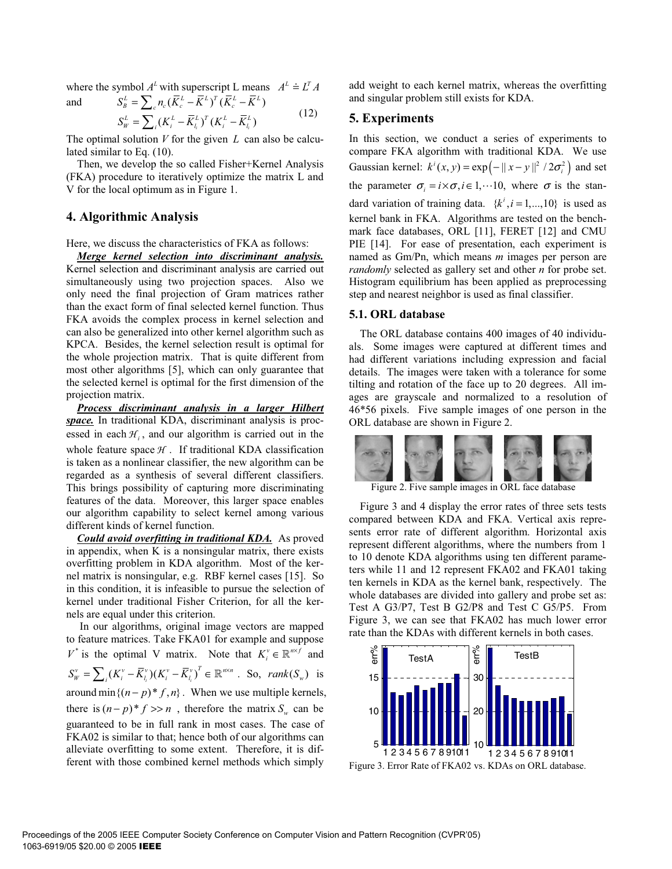where the symbol  $A<sup>L</sup>$  with superscript L means  $A<sup>L</sup> \doteq L<sup>T</sup> A$ and  $S_B^L = \sum_c n_c (\bar{K}_c^L - \bar{K}^L)^T (\bar{K}_c^L - \bar{K}^L)$ 

$$
S_{W}^{L} = \sum_{i}^{C} (K_{i}^{L} - \overline{K}_{l_{i}}^{L})^{T} (K_{i}^{L} - \overline{K}_{l_{i}}^{L})
$$
(12)

The optimal solution *V* for the given *L* can also be calculated similar to Eq. (10).

Then, we develop the so called Fisher+Kernel Analysis (FKA) procedure to iteratively optimize the matrix L and V for the local optimum as in Figure 1.

### **4. Algorithmic Analysis**

Here, we discuss the characteristics of FKA as follows:

*Merge kernel selection into discriminant analysis.* Kernel selection and discriminant analysis are carried out simultaneously using two projection spaces. Also we only need the final projection of Gram matrices rather than the exact form of final selected kernel function. Thus FKA avoids the complex process in kernel selection and can also be generalized into other kernel algorithm such as KPCA. Besides, the kernel selection result is optimal for the whole projection matrix. That is quite different from most other algorithms [5], which can only guarantee that the selected kernel is optimal for the first dimension of the projection matrix.

*Process discriminant analysis in a larger Hilbert space.* In traditional KDA, discriminant analysis is processed in each  $H_i$ , and our algorithm is carried out in the whole feature space  $H$ . If traditional KDA classification is taken as a nonlinear classifier, the new algorithm can be regarded as a synthesis of several different classifiers. This brings possibility of capturing more discriminating features of the data. Moreover, this larger space enables our algorithm capability to select kernel among various different kinds of kernel function.

*Could avoid overfitting in traditional KDA.* As proved in appendix, when K is a nonsingular matrix, there exists overfitting problem in KDA algorithm. Most of the kernel matrix is nonsingular, e.g. RBF kernel cases [15]. So in this condition, it is infeasible to pursue the selection of kernel under traditional Fisher Criterion, for all the kernels are equal under this criterion.

 In our algorithms, original image vectors are mapped to feature matrices. Take FKA01 for example and suppose  $V^*$  is the optimal V matrix. Note that  $K_i^v \in \mathbb{R}^{n \times f}$  and  $(S_W^{\nu} = \sum_i (K_i^{\nu} - \overline{K}_{l_i}^{\nu}) (K_i^{\nu} - \overline{K}_{l_i}^{\nu})^T \in \mathbb{R}^{m \times n}$ . So, rank $(S_w)$  is around min $\{(n-p)^* f, n\}$ . When we use multiple kernels, there is  $(n-p)^* f \gg n$ , therefore the matrix  $S_{\omega}$  can be guaranteed to be in full rank in most cases. The case of FKA02 is similar to that; hence both of our algorithms can alleviate overfitting to some extent. Therefore, it is different with those combined kernel methods which simply

add weight to each kernel matrix, whereas the overfitting and singular problem still exists for KDA.

## **5. Experiments**

In this section, we conduct a series of experiments to compare FKA algorithm with traditional KDA. We use Gaussian kernel:  $k^{i}(x, y) = \exp(-||x-y||^{2} / 2\sigma_{i}^{2})$  and set the parameter  $\sigma_i = i \times \sigma, i \in 1, \dots 10$ , where  $\sigma$  is the standard variation of training data.  $\{k^i, i = 1, \dots, 10\}$  is used as kernel bank in FKA. Algorithms are tested on the benchmark face databases, ORL [11], FERET [12] and CMU PIE [14]. For ease of presentation, each experiment is named as Gm/Pn, which means *m* images per person are *randomly* selected as gallery set and other *n* for probe set. Histogram equilibrium has been applied as preprocessing step and nearest neighbor is used as final classifier.

### **5.1. ORL database**

The ORL database contains 400 images of 40 individuals. Some images were captured at different times and had different variations including expression and facial details. The images were taken with a tolerance for some tilting and rotation of the face up to 20 degrees. All images are grayscale and normalized to a resolution of 46\*56 pixels. Five sample images of one person in the ORL database are shown in Figure 2.



Figure 2. Five sample images in ORL face database

Figure 3 and 4 display the error rates of three sets tests compared between KDA and FKA. Vertical axis represents error rate of different algorithm. Horizontal axis represent different algorithms, where the numbers from 1 to 10 denote KDA algorithms using ten different parameters while 11 and 12 represent FKA02 and FKA01 taking ten kernels in KDA as the kernel bank, respectively. The whole databases are divided into gallery and probe set as: Test A G3/P7, Test B G2/P8 and Test C G5/P5. From Figure 3, we can see that FKA02 has much lower error rate than the KDAs with different kernels in both cases.



Figure 3. Error Rate of FKA02 vs. KDAs on ORL database.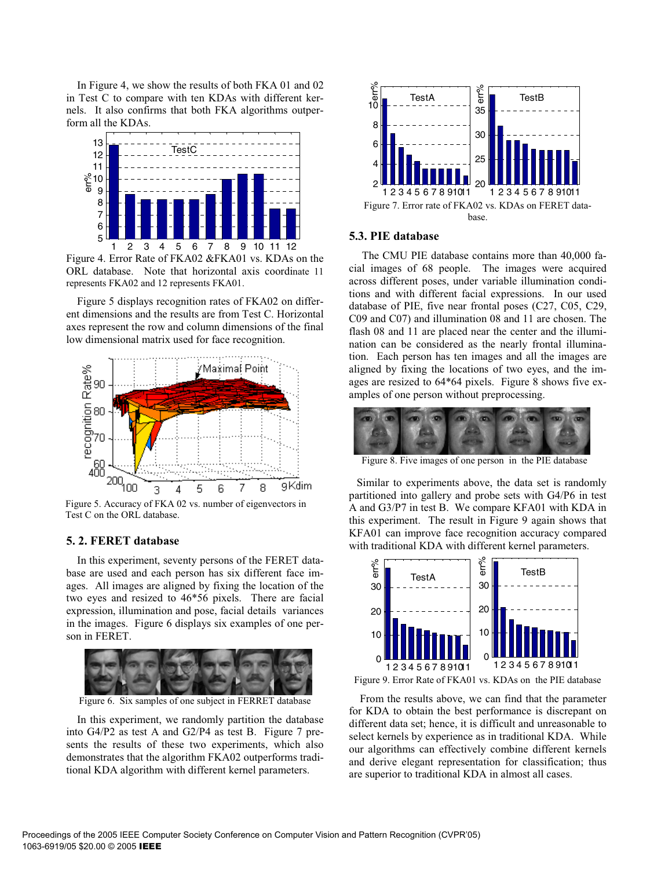In Figure 4, we show the results of both FKA 01 and 02 in Test C to compare with ten KDAs with different kernels. It also confirms that both FKA algorithms outperform all the KDAs.



Figure 4. Error Rate of FKA02 &FKA01 vs. KDAs on the ORL database. Note that horizontal axis coordinate 11 represents FKA02 and 12 represents FKA01.

Figure 5 displays recognition rates of FKA02 on different dimensions and the results are from Test C. Horizontal axes represent the row and column dimensions of the final low dimensional matrix used for face recognition.



Figure 5. Accuracy of FKA 02 vs. number of eigenvectors in Test C on the ORL database.

### **5. 2. FERET database**

In this experiment, seventy persons of the FERET database are used and each person has six different face images. All images are aligned by fixing the location of the two eyes and resized to 46\*56 pixels. There are facial expression, illumination and pose, facial details variances in the images. Figure 6 displays six examples of one person in FERET.



Figure 6. Six samples of one subject in FERRET database

In this experiment, we randomly partition the database into G4/P2 as test A and G2/P4 as test B. Figure 7 presents the results of these two experiments, which also demonstrates that the algorithm FKA02 outperforms traditional KDA algorithm with different kernel parameters.



### **5.3. PIE database**

The CMU PIE database contains more than 40,000 facial images of 68 people. The images were acquired across different poses, under variable illumination conditions and with different facial expressions. In our used database of PIE, five near frontal poses (C27, C05, C29, C09 and C07) and illumination 08 and 11 are chosen. The flash 08 and 11 are placed near the center and the illumination can be considered as the nearly frontal illumination. Each person has ten images and all the images are aligned by fixing the locations of two eyes, and the images are resized to 64\*64 pixels. Figure 8 shows five examples of one person without preprocessing.



Figure 8. Five images of one person in the PIE database

Similar to experiments above, the data set is randomly partitioned into gallery and probe sets with G4/P6 in test A and G3/P7 in test B. We compare KFA01 with KDA in this experiment. The result in Figure 9 again shows that KFA01 can improve face recognition accuracy compared with traditional KDA with different kernel parameters.





From the results above, we can find that the parameter for KDA to obtain the best performance is discrepant on different data set; hence, it is difficult and unreasonable to select kernels by experience as in traditional KDA. While our algorithms can effectively combine different kernels and derive elegant representation for classification; thus are superior to traditional KDA in almost all cases.